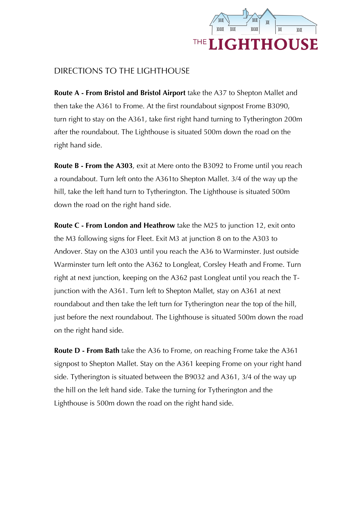

## DIRECTIONS TO THE LIGHTHOUSE

**Route A - From Bristol and Bristol Airport** take the A37 to Shepton Mallet and then take the A361 to Frome. At the first roundabout signpost Frome B3090, turn right to stay on the A361, take first right hand turning to Tytherington 200m after the roundabout. The Lighthouse is situated 500m down the road on the right hand side.

**Route B - From the A303**, exit at Mere onto the B3092 to Frome until you reach a roundabout. Turn left onto the A361to Shepton Mallet. 3/4 of the way up the hill, take the left hand turn to Tytherington. The Lighthouse is situated 500m down the road on the right hand side.

**Route C - From London and Heathrow** take the M25 to junction 12, exit onto the M3 following signs for Fleet. Exit M3 at junction 8 on to the A303 to Andover. Stay on the A303 until you reach the A36 to Warminster. Just outside Warminster turn left onto the A362 to Longleat, Corsley Heath and Frome. Turn right at next junction, keeping on the A362 past Longleat until you reach the Tjunction with the A361. Turn left to Shepton Mallet, stay on A361 at next roundabout and then take the left turn for Tytherington near the top of the hill, just before the next roundabout. The Lighthouse is situated 500m down the road on the right hand side.

**Route D - From Bath** take the A36 to Frome, on reaching Frome take the A361 signpost to Shepton Mallet. Stay on the A361 keeping Frome on your right hand side. Tytherington is situated between the B9032 and A361, 3/4 of the way up the hill on the left hand side. Take the turning for Tytherington and the Lighthouse is 500m down the road on the right hand side.